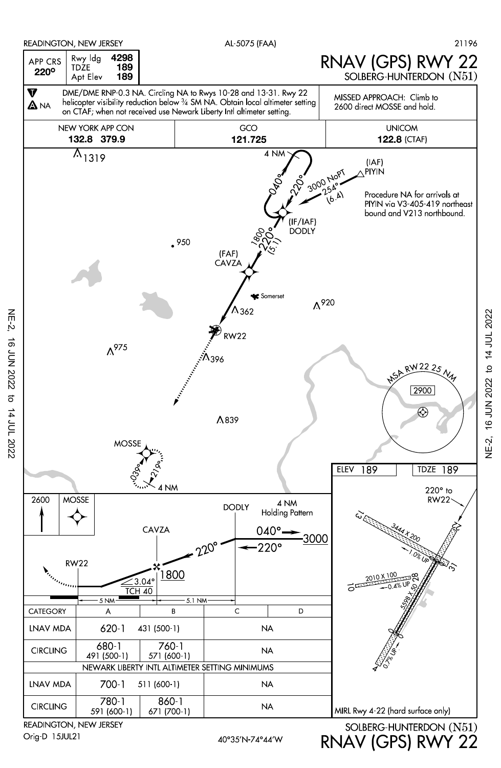

READINGTON, NEW JERSEY Orig-D 15JUL21

NE-2, 16 JUN 2022 to 14 JUL 2022

 $\sigma$ 

14 JUL 2022

**16 JUN 2022** 

 $NE-2$ 

RNAV (GPS) RWY 22

16 JUN 2022 to 14 JUL 2022 NE-2, 16 JUN 2022 to 14 JUL 2022**NE-2,**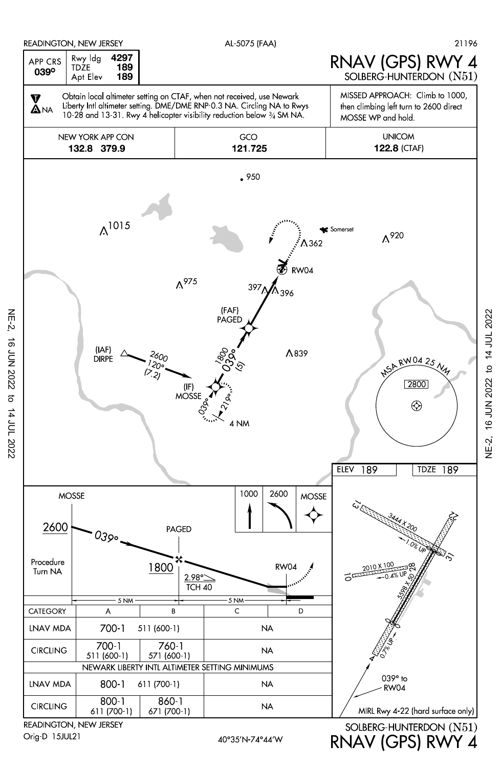

READINGTON, NEW JERSEY Orig-D 15JUL21

NE-2, 16 JUN 2022 to 14 JUL 2022

 $\sigma$ 

14 JUL 2022

**16 JUN 2022** 

 $NE-2$ 

RNAV (GPS) RWY 4

16 JUN 2022 to 14 JUL 2022 NE-2, 16 JUN 2022 to 14 JUL 2022NE-2,